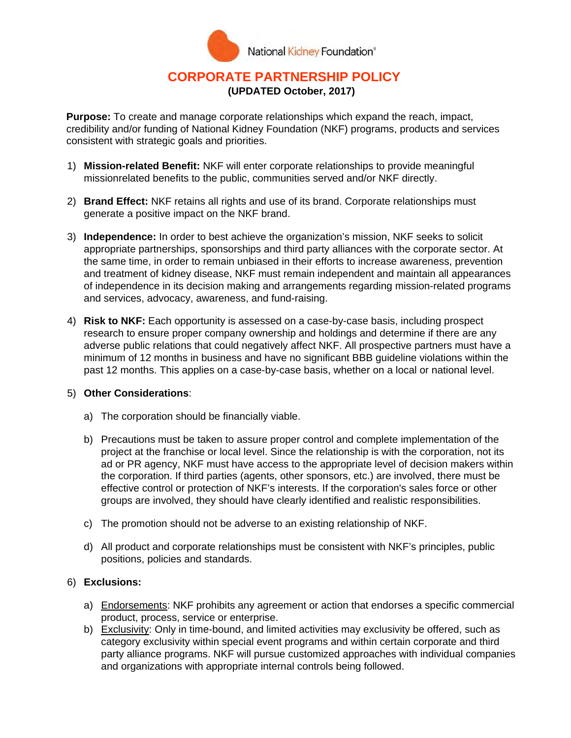

## **CORPORATE PARTNERSHIP POLICY (UPDATED October, 2017)**

**Purpose:** To create and manage corporate relationships which expand the reach, impact, credibility and/or funding of National Kidney Foundation (NKF) programs, products and services consistent with strategic goals and priorities.

- 1) **Mission-related Benefit:** NKF will enter corporate relationships to provide meaningful missionrelated benefits to the public, communities served and/or NKF directly.
- 2) **Brand Effect:** NKF retains all rights and use of its brand. Corporate relationships must generate a positive impact on the NKF brand.
- 3) **Independence:** In order to best achieve the organization's mission, NKF seeks to solicit appropriate partnerships, sponsorships and third party alliances with the corporate sector. At the same time, in order to remain unbiased in their efforts to increase awareness, prevention and treatment of kidney disease, NKF must remain independent and maintain all appearances of independence in its decision making and arrangements regarding mission-related programs and services, advocacy, awareness, and fund-raising.
- 4) **Risk to NKF:** Each opportunity is assessed on a case-by-case basis, including prospect research to ensure proper company ownership and holdings and determine if there are any adverse public relations that could negatively affect NKF. All prospective partners must have a minimum of 12 months in business and have no significant BBB guideline violations within the past 12 months. This applies on a case-by-case basis, whether on a local or national level.

## 5) **Other Considerations**:

- a) The corporation should be financially viable.
- b) Precautions must be taken to assure proper control and complete implementation of the project at the franchise or local level. Since the relationship is with the corporation, not its ad or PR agency, NKF must have access to the appropriate level of decision makers within the corporation. If third parties (agents, other sponsors, etc.) are involved, there must be effective control or protection of NKF's interests. If the corporation's sales force or other groups are involved, they should have clearly identified and realistic responsibilities.
- c) The promotion should not be adverse to an existing relationship of NKF.
- d) All product and corporate relationships must be consistent with NKF's principles, public positions, policies and standards.

## 6) **Exclusions:**

- a) Endorsements: NKF prohibits any agreement or action that endorses a specific commercial product, process, service or enterprise.
- b) Exclusivity: Only in time-bound, and limited activities may exclusivity be offered, such as category exclusivity within special event programs and within certain corporate and third party alliance programs. NKF will pursue customized approaches with individual companies and organizations with appropriate internal controls being followed.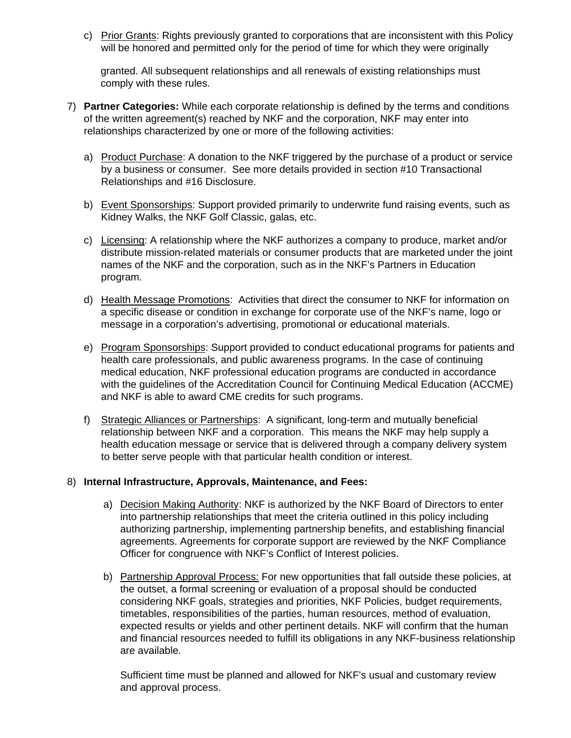c) Prior Grants: Rights previously granted to corporations that are inconsistent with this Policy will be honored and permitted only for the period of time for which they were originally

granted. All subsequent relationships and all renewals of existing relationships must comply with these rules.

- 7) **Partner Categories:** While each corporate relationship is defined by the terms and conditions of the written agreement(s) reached by NKF and the corporation, NKF may enter into relationships characterized by one or more of the following activities:
	- a) Product Purchase: A donation to the NKF triggered by the purchase of a product or service by a business or consumer. See more details provided in section #10 Transactional Relationships and #16 Disclosure.
	- b) Event Sponsorships: Support provided primarily to underwrite fund raising events, such as Kidney Walks, the NKF Golf Classic, galas, etc.
	- c) Licensing: A relationship where the NKF authorizes a company to produce, market and/or distribute mission-related materials or consumer products that are marketed under the joint names of the NKF and the corporation, such as in the NKF's Partners in Education program.
	- d) Health Message Promotions: Activities that direct the consumer to NKF for information on a specific disease or condition in exchange for corporate use of the NKF's name, logo or message in a corporation's advertising, promotional or educational materials.
	- e) Program Sponsorships: Support provided to conduct educational programs for patients and health care professionals, and public awareness programs. In the case of continuing medical education, NKF professional education programs are conducted in accordance with the guidelines of the Accreditation Council for Continuing Medical Education (ACCME) and NKF is able to award CME credits for such programs.
	- f) Strategic Alliances or Partnerships: A significant, long-term and mutually beneficial relationship between NKF and a corporation. This means the NKF may help supply a health education message or service that is delivered through a company delivery system to better serve people with that particular health condition or interest.

## 8) **Internal Infrastructure, Approvals, Maintenance, and Fees:**

- a) Decision Making Authority: NKF is authorized by the NKF Board of Directors to enter into partnership relationships that meet the criteria outlined in this policy including authorizing partnership, implementing partnership benefits, and establishing financial agreements. Agreements for corporate support are reviewed by the NKF Compliance Officer for congruence with NKF's Conflict of Interest policies.
- b) Partnership Approval Process: For new opportunities that fall outside these policies, at the outset, a formal screening or evaluation of a proposal should be conducted considering NKF goals, strategies and priorities, NKF Policies, budget requirements, timetables, responsibilities of the parties, human resources, method of evaluation, expected results or yields and other pertinent details. NKF will confirm that the human and financial resources needed to fulfill its obligations in any NKF-business relationship are available.

Sufficient time must be planned and allowed for NKF's usual and customary review and approval process.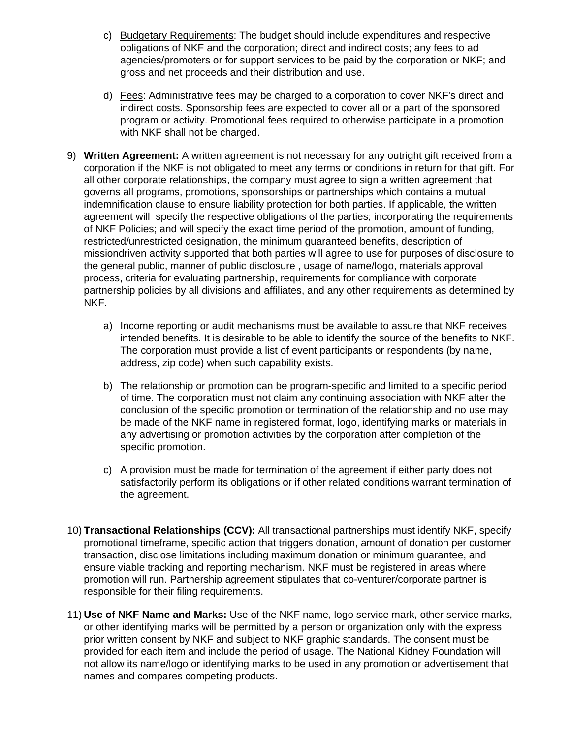- c) Budgetary Requirements: The budget should include expenditures and respective obligations of NKF and the corporation; direct and indirect costs; any fees to ad agencies/promoters or for support services to be paid by the corporation or NKF; and gross and net proceeds and their distribution and use.
- d) Fees: Administrative fees may be charged to a corporation to cover NKF's direct and indirect costs. Sponsorship fees are expected to cover all or a part of the sponsored program or activity. Promotional fees required to otherwise participate in a promotion with NKF shall not be charged.
- 9) **Written Agreement:** A written agreement is not necessary for any outright gift received from a corporation if the NKF is not obligated to meet any terms or conditions in return for that gift. For all other corporate relationships, the company must agree to sign a written agreement that governs all programs, promotions, sponsorships or partnerships which contains a mutual indemnification clause to ensure liability protection for both parties. If applicable, the written agreement will specify the respective obligations of the parties; incorporating the requirements of NKF Policies; and will specify the exact time period of the promotion, amount of funding, restricted/unrestricted designation, the minimum guaranteed benefits, description of missiondriven activity supported that both parties will agree to use for purposes of disclosure to the general public, manner of public disclosure , usage of name/logo, materials approval process, criteria for evaluating partnership, requirements for compliance with corporate partnership policies by all divisions and affiliates, and any other requirements as determined by NKF.
	- a) Income reporting or audit mechanisms must be available to assure that NKF receives intended benefits. It is desirable to be able to identify the source of the benefits to NKF. The corporation must provide a list of event participants or respondents (by name, address, zip code) when such capability exists.
	- b) The relationship or promotion can be program-specific and limited to a specific period of time. The corporation must not claim any continuing association with NKF after the conclusion of the specific promotion or termination of the relationship and no use may be made of the NKF name in registered format, logo, identifying marks or materials in any advertising or promotion activities by the corporation after completion of the specific promotion.
	- c) A provision must be made for termination of the agreement if either party does not satisfactorily perform its obligations or if other related conditions warrant termination of the agreement.
- 10) **Transactional Relationships (CCV):** All transactional partnerships must identify NKF, specify promotional timeframe, specific action that triggers donation, amount of donation per customer transaction, disclose limitations including maximum donation or minimum guarantee, and ensure viable tracking and reporting mechanism. NKF must be registered in areas where promotion will run. Partnership agreement stipulates that co-venturer/corporate partner is responsible for their filing requirements.
- 11) **Use of NKF Name and Marks:** Use of the NKF name, logo service mark, other service marks, or other identifying marks will be permitted by a person or organization only with the express prior written consent by NKF and subject to NKF graphic standards. The consent must be provided for each item and include the period of usage. The National Kidney Foundation will not allow its name/logo or identifying marks to be used in any promotion or advertisement that names and compares competing products.